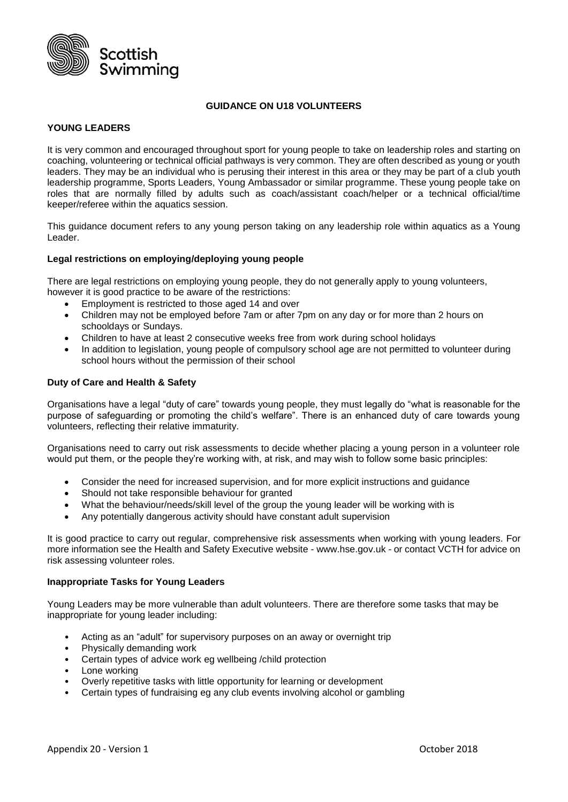

## **GUIDANCE ON U18 VOLUNTEERS**

# **YOUNG LEADERS**

It is very common and encouraged throughout sport for young people to take on leadership roles and starting on coaching, volunteering or technical official pathways is very common. They are often described as young or youth leaders. They may be an individual who is perusing their interest in this area or they may be part of a club youth leadership programme, Sports Leaders, Young Ambassador or similar programme. These young people take on roles that are normally filled by adults such as coach/assistant coach/helper or a technical official/time keeper/referee within the aquatics session.

This guidance document refers to any young person taking on any leadership role within aquatics as a Young Leader.

### **Legal restrictions on employing/deploying young people**

There are legal restrictions on employing young people, they do not generally apply to young volunteers, however it is good practice to be aware of the restrictions:

- Employment is restricted to those aged 14 and over
- Children may not be employed before 7am or after 7pm on any day or for more than 2 hours on schooldays or Sundays.
- Children to have at least 2 consecutive weeks free from work during school holidays
- In addition to legislation, young people of compulsory school age are not permitted to volunteer during school hours without the permission of their school

### **Duty of Care and Health & Safety**

Organisations have a legal "duty of care" towards young people, they must legally do "what is reasonable for the purpose of safeguarding or promoting the child's welfare". There is an enhanced duty of care towards young volunteers, reflecting their relative immaturity.

Organisations need to carry out risk assessments to decide whether placing a young person in a volunteer role would put them, or the people they're working with, at risk, and may wish to follow some basic principles:

- Consider the need for increased supervision, and for more explicit instructions and guidance
- Should not take responsible behaviour for granted
- What the behaviour/needs/skill level of the group the young leader will be working with is
- Any potentially dangerous activity should have constant adult supervision

It is good practice to carry out regular, comprehensive risk assessments when working with young leaders. For more information see the Health and Safety Executive website - www.hse.gov.uk - or contact VCTH for advice on risk assessing volunteer roles.

### **Inappropriate Tasks for Young Leaders**

Young Leaders may be more vulnerable than adult volunteers. There are therefore some tasks that may be inappropriate for young leader including:

- Acting as an "adult" for supervisory purposes on an away or overnight trip
- Physically demanding work
- Certain types of advice work eg wellbeing /child protection
- Lone working
- Overly repetitive tasks with little opportunity for learning or development
- Certain types of fundraising eg any club events involving alcohol or gambling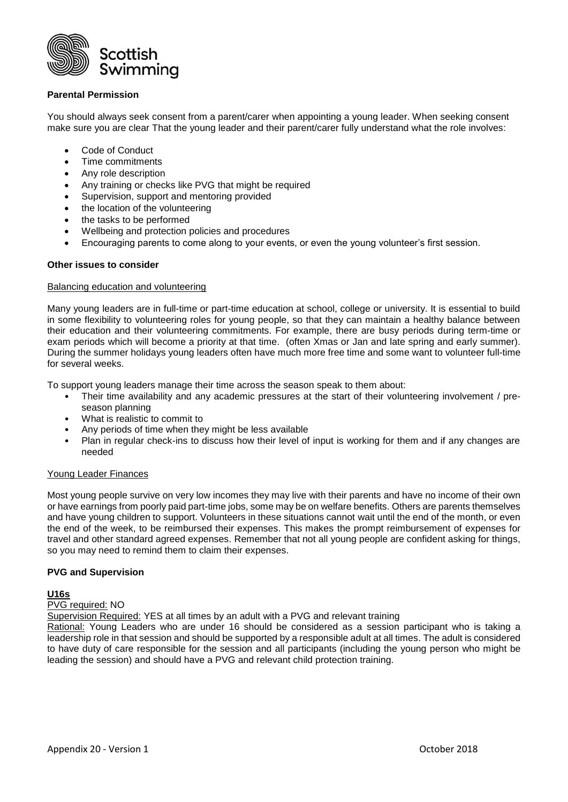

## **Parental Permission**

You should always seek consent from a parent/carer when appointing a young leader. When seeking consent make sure you are clear That the young leader and their parent/carer fully understand what the role involves:

- Code of Conduct
- Time commitments
- Any role description
- Any training or checks like PVG that might be required
- Supervision, support and mentoring provided
- the location of the volunteering
- the tasks to be performed
- Wellbeing and protection policies and procedures
- Encouraging parents to come along to your events, or even the young volunteer's first session.

#### **Other issues to consider**

### Balancing education and volunteering

Many young leaders are in full-time or part-time education at school, college or university. It is essential to build in some flexibility to volunteering roles for young people, so that they can maintain a healthy balance between their education and their volunteering commitments. For example, there are busy periods during term-time or exam periods which will become a priority at that time. (often Xmas or Jan and late spring and early summer). During the summer holidays young leaders often have much more free time and some want to volunteer full-time for several weeks.

To support young leaders manage their time across the season speak to them about:

- Their time availability and any academic pressures at the start of their volunteering involvement / preseason planning
- What is realistic to commit to
- Any periods of time when they might be less available
- Plan in regular check-ins to discuss how their level of input is working for them and if any changes are needed

## Young Leader Finances

Most young people survive on very low incomes they may live with their parents and have no income of their own or have earnings from poorly paid part-time jobs, some may be on welfare benefits. Others are parents themselves and have young children to support. Volunteers in these situations cannot wait until the end of the month, or even the end of the week, to be reimbursed their expenses. This makes the prompt reimbursement of expenses for travel and other standard agreed expenses. Remember that not all young people are confident asking for things, so you may need to remind them to claim their expenses.

### **PVG and Supervision**

## **U16s**

#### PVG required: NO

Supervision Required: YES at all times by an adult with a PVG and relevant training

Rational: Young Leaders who are under 16 should be considered as a session participant who is taking a leadership role in that session and should be supported by a responsible adult at all times. The adult is considered to have duty of care responsible for the session and all participants (including the young person who might be leading the session) and should have a PVG and relevant child protection training.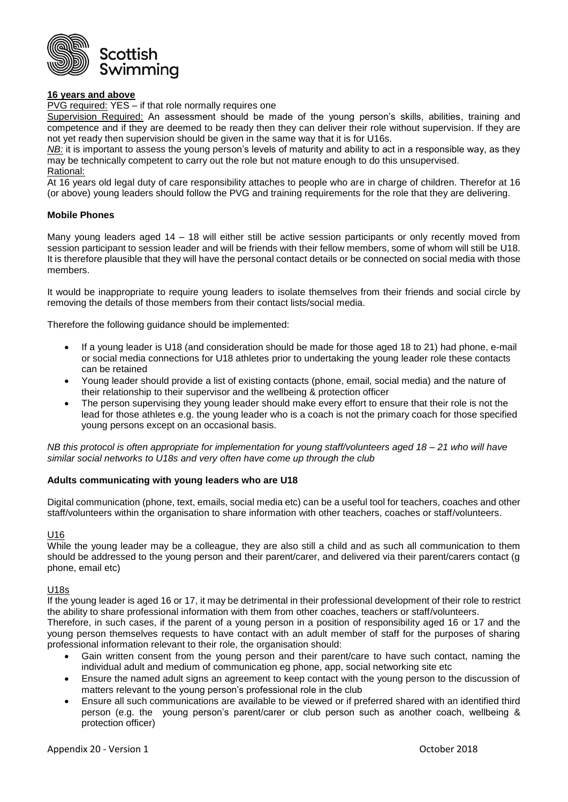

# **16 years and above**

PVG required: YES – if that role normally requires one

Supervision Required: An assessment should be made of the young person's skills, abilities, training and competence and if they are deemed to be ready then they can deliver their role without supervision. If they are not yet ready then supervision should be given in the same way that it is for U16s.

*NB:* it is important to assess the young person's levels of maturity and ability to act in a responsible way, as they may be technically competent to carry out the role but not mature enough to do this unsupervised. Rational:

At 16 years old legal duty of care responsibility attaches to people who are in charge of children. Therefor at 16 (or above) young leaders should follow the PVG and training requirements for the role that they are delivering.

### **Mobile Phones**

Many young leaders aged 14 – 18 will either still be active session participants or only recently moved from session participant to session leader and will be friends with their fellow members, some of whom will still be U18. It is therefore plausible that they will have the personal contact details or be connected on social media with those members.

It would be inappropriate to require young leaders to isolate themselves from their friends and social circle by removing the details of those members from their contact lists/social media.

Therefore the following guidance should be implemented:

- If a young leader is U18 (and consideration should be made for those aged 18 to 21) had phone, e-mail or social media connections for U18 athletes prior to undertaking the young leader role these contacts can be retained
- Young leader should provide a list of existing contacts (phone, email, social media) and the nature of their relationship to their supervisor and the wellbeing & protection officer
- The person supervising they young leader should make every effort to ensure that their role is not the lead for those athletes e.g. the young leader who is a coach is not the primary coach for those specified young persons except on an occasional basis.

*NB this protocol is often appropriate for implementation for young staff/volunteers aged 18 – 21 who will have similar social networks to U18s and very often have come up through the club* 

#### **Adults communicating with young leaders who are U18**

Digital communication (phone, text, emails, social media etc) can be a useful tool for teachers, coaches and other staff/volunteers within the organisation to share information with other teachers, coaches or staff/volunteers.

#### U16

While the young leader may be a colleague, they are also still a child and as such all communication to them should be addressed to the young person and their parent/carer, and delivered via their parent/carers contact (g phone, email etc)

### U18s

If the young leader is aged 16 or 17, it may be detrimental in their professional development of their role to restrict the ability to share professional information with them from other coaches, teachers or staff/volunteers.

Therefore, in such cases, if the parent of a young person in a position of responsibility aged 16 or 17 and the young person themselves requests to have contact with an adult member of staff for the purposes of sharing professional information relevant to their role, the organisation should:

- Gain written consent from the young person and their parent/care to have such contact, naming the individual adult and medium of communication eg phone, app, social networking site etc
- Ensure the named adult signs an agreement to keep contact with the young person to the discussion of matters relevant to the young person's professional role in the club
- Ensure all such communications are available to be viewed or if preferred shared with an identified third person (e.g. the young person's parent/carer or club person such as another coach, wellbeing & protection officer)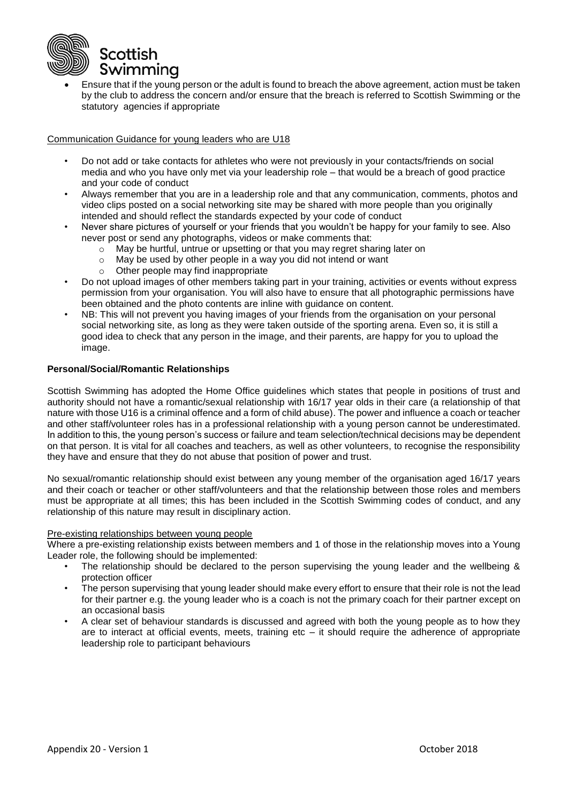

 Ensure that if the young person or the adult is found to breach the above agreement, action must be taken by the club to address the concern and/or ensure that the breach is referred to Scottish Swimming or the statutory agencies if appropriate

Communication Guidance for young leaders who are U18

- Do not add or take contacts for athletes who were not previously in your contacts/friends on social media and who you have only met via your leadership role – that would be a breach of good practice and your code of conduct
- Always remember that you are in a leadership role and that any communication, comments, photos and video clips posted on a social networking site may be shared with more people than you originally intended and should reflect the standards expected by your code of conduct
- Never share pictures of yourself or your friends that you wouldn't be happy for your family to see. Also never post or send any photographs, videos or make comments that:
	- o May be hurtful, untrue or upsetting or that you may regret sharing later on
	- o May be used by other people in a way you did not intend or want
	- o Other people may find inappropriate
- Do not upload images of other members taking part in your training, activities or events without express permission from your organisation. You will also have to ensure that all photographic permissions have been obtained and the photo contents are inline with guidance on content.
- NB: This will not prevent you having images of your friends from the organisation on your personal social networking site, as long as they were taken outside of the sporting arena. Even so, it is still a good idea to check that any person in the image, and their parents, are happy for you to upload the image.

## **Personal/Social/Romantic Relationships**

Scottish Swimming has adopted the Home Office guidelines which states that people in positions of trust and authority should not have a romantic/sexual relationship with 16/17 year olds in their care (a relationship of that nature with those U16 is a criminal offence and a form of child abuse). The power and influence a coach or teacher and other staff/volunteer roles has in a professional relationship with a young person cannot be underestimated. In addition to this, the young person's success or failure and team selection/technical decisions may be dependent on that person. It is vital for all coaches and teachers, as well as other volunteers, to recognise the responsibility they have and ensure that they do not abuse that position of power and trust.

No sexual/romantic relationship should exist between any young member of the organisation aged 16/17 years and their coach or teacher or other staff/volunteers and that the relationship between those roles and members must be appropriate at all times; this has been included in the Scottish Swimming codes of conduct, and any relationship of this nature may result in disciplinary action.

#### Pre-existing relationships between young people

Where a pre-existing relationship exists between members and 1 of those in the relationship moves into a Young Leader role, the following should be implemented:

- The relationship should be declared to the person supervising the young leader and the wellbeing & protection officer
- The person supervising that young leader should make every effort to ensure that their role is not the lead for their partner e.g. the young leader who is a coach is not the primary coach for their partner except on an occasional basis
- A clear set of behaviour standards is discussed and agreed with both the young people as to how they are to interact at official events, meets, training etc  $-$  it should require the adherence of appropriate leadership role to participant behaviours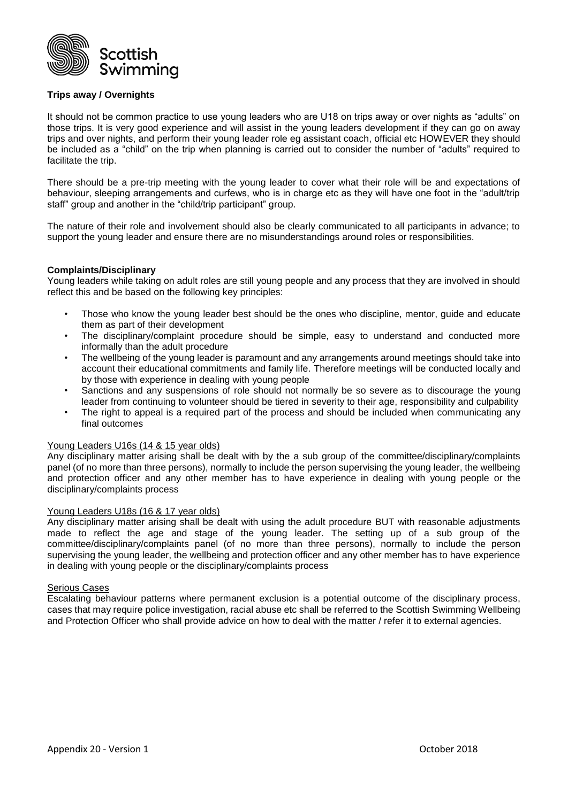

## **Trips away / Overnights**

It should not be common practice to use young leaders who are U18 on trips away or over nights as "adults" on those trips. It is very good experience and will assist in the young leaders development if they can go on away trips and over nights, and perform their young leader role eg assistant coach, official etc HOWEVER they should be included as a "child" on the trip when planning is carried out to consider the number of "adults" required to facilitate the trip.

There should be a pre-trip meeting with the young leader to cover what their role will be and expectations of behaviour, sleeping arrangements and curfews, who is in charge etc as they will have one foot in the "adult/trip staff" group and another in the "child/trip participant" group.

The nature of their role and involvement should also be clearly communicated to all participants in advance; to support the young leader and ensure there are no misunderstandings around roles or responsibilities.

### **Complaints/Disciplinary**

Young leaders while taking on adult roles are still young people and any process that they are involved in should reflect this and be based on the following key principles:

- Those who know the young leader best should be the ones who discipline, mentor, guide and educate them as part of their development
- The disciplinary/complaint procedure should be simple, easy to understand and conducted more informally than the adult procedure
- The wellbeing of the young leader is paramount and any arrangements around meetings should take into account their educational commitments and family life. Therefore meetings will be conducted locally and by those with experience in dealing with young people
- Sanctions and any suspensions of role should not normally be so severe as to discourage the young leader from continuing to volunteer should be tiered in severity to their age, responsibility and culpability
- The right to appeal is a required part of the process and should be included when communicating any final outcomes

### Young Leaders U16s (14 & 15 year olds)

Any disciplinary matter arising shall be dealt with by the a sub group of the committee/disciplinary/complaints panel (of no more than three persons), normally to include the person supervising the young leader, the wellbeing and protection officer and any other member has to have experience in dealing with young people or the disciplinary/complaints process

### Young Leaders U18s (16 & 17 year olds)

Any disciplinary matter arising shall be dealt with using the adult procedure BUT with reasonable adjustments made to reflect the age and stage of the young leader. The setting up of a sub group of the committee/disciplinary/complaints panel (of no more than three persons), normally to include the person supervising the young leader, the wellbeing and protection officer and any other member has to have experience in dealing with young people or the disciplinary/complaints process

### Serious Cases

Escalating behaviour patterns where permanent exclusion is a potential outcome of the disciplinary process, cases that may require police investigation, racial abuse etc shall be referred to the Scottish Swimming Wellbeing and Protection Officer who shall provide advice on how to deal with the matter / refer it to external agencies.